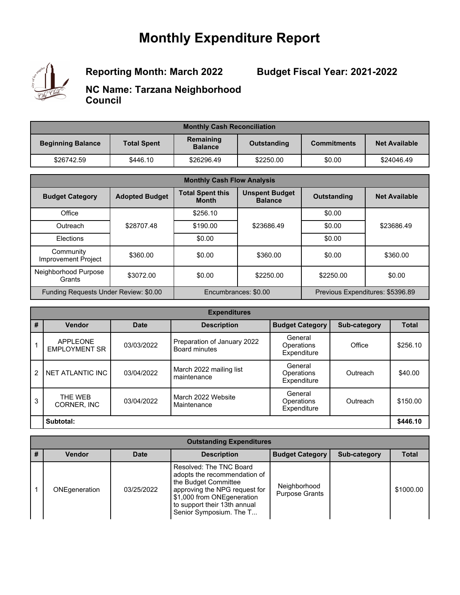## **Monthly Expenditure Report**



**Reporting Month: March 2022**

**Budget Fiscal Year: 2021-2022**

**NC Name: Tarzana Neighborhood Council**

| <b>Monthly Cash Reconciliation</b> |                    |                             |             |                    |                      |
|------------------------------------|--------------------|-----------------------------|-------------|--------------------|----------------------|
| <b>Beginning Balance</b>           | <b>Total Spent</b> | Remaining<br><b>Balance</b> | Outstanding | <b>Commitments</b> | <b>Net Available</b> |
| \$26742.59                         | \$446.10           | \$26296.49                  | \$2250.00   | \$0.00             | \$24046.49           |

| <b>Monthly Cash Flow Analysis</b>     |                       |                                         |                                         |                    |                                  |
|---------------------------------------|-----------------------|-----------------------------------------|-----------------------------------------|--------------------|----------------------------------|
| <b>Budget Category</b>                | <b>Adopted Budget</b> | <b>Total Spent this</b><br><b>Month</b> | <b>Unspent Budget</b><br><b>Balance</b> | <b>Outstanding</b> | <b>Net Available</b>             |
| Office                                |                       | \$256.10                                |                                         | \$0.00             |                                  |
| Outreach                              | \$28707.48            | \$190.00                                | \$23686.49                              | \$0.00             | \$23686.49                       |
| Elections                             |                       | \$0.00                                  |                                         | \$0.00             |                                  |
| Community<br>Improvement Project      | \$360.00              | \$0.00                                  | \$360.00                                | \$0.00             | \$360.00                         |
| Neighborhood Purpose<br>Grants        | \$3072.00             | \$0.00                                  | \$2250.00                               | \$2250.00          | \$0.00                           |
| Funding Requests Under Review: \$0.00 |                       |                                         | Encumbrances: \$0.00                    |                    | Previous Expenditures: \$5396.89 |

| <b>Expenditures</b> |                                         |             |                                                     |                                      |                     |              |
|---------------------|-----------------------------------------|-------------|-----------------------------------------------------|--------------------------------------|---------------------|--------------|
| #                   | <b>Vendor</b>                           | <b>Date</b> | <b>Description</b>                                  | <b>Budget Category</b>               | <b>Sub-category</b> | <b>Total</b> |
|                     | <b>APPLEONE</b><br><b>EMPLOYMENT SR</b> | 03/03/2022  | Preparation of January 2022<br><b>Board minutes</b> | General<br>Operations<br>Expenditure | Office              | \$256.10     |
| $\mathcal{P}$       | NET ATLANTIC INC                        | 03/04/2022  | March 2022 mailing list<br>maintenance              | General<br>Operations<br>Expenditure | Outreach            | \$40.00      |
| 3                   | THE WEB<br>CORNER, INC                  | 03/04/2022  | March 2022 Website<br>Maintenance                   | General<br>Operations<br>Expenditure | Outreach            | \$150.00     |
|                     | Subtotal:                               |             |                                                     |                                      |                     | \$446.10     |

|   | <b>Outstanding Expenditures</b> |             |                                                                                                                                                                                                           |                                       |              |              |  |
|---|---------------------------------|-------------|-----------------------------------------------------------------------------------------------------------------------------------------------------------------------------------------------------------|---------------------------------------|--------------|--------------|--|
| # | <b>Vendor</b>                   | <b>Date</b> | <b>Description</b>                                                                                                                                                                                        | <b>Budget Category</b>                | Sub-category | <b>Total</b> |  |
|   | ONEgeneration                   | 03/25/2022  | Resolved: The TNC Board<br>adopts the recommendation of<br>the Budget Committee<br>approving the NPG request for<br>\$1,000 from ONEgeneration<br>to support their 13th annual<br>Senior Symposium. The T | Neighborhood<br><b>Purpose Grants</b> |              | \$1000.00    |  |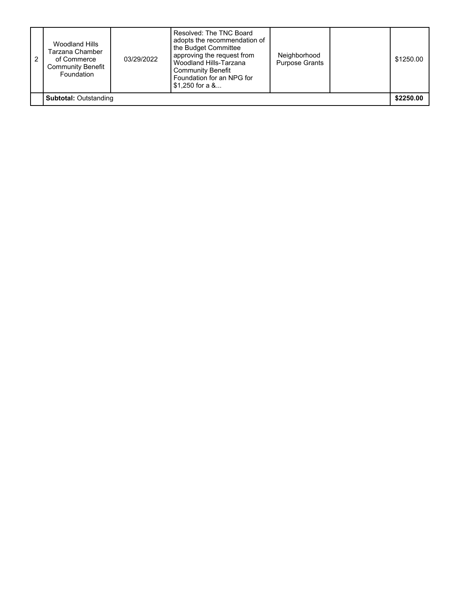| Woodland Hills<br>Tarzana Chamber<br>of Commerce<br><b>Community Benefit</b><br>Foundation | 03/29/2022 | Resolved: The TNC Board<br>adopts the recommendation of<br>the Budget Committee<br>approving the request from<br>Woodland Hills-Tarzana<br><b>Community Benefit</b><br>Foundation for an NPG for<br>$$1,250$ for a $\&$ | Neighborhood<br><b>Purpose Grants</b> | \$1250.00 |
|--------------------------------------------------------------------------------------------|------------|-------------------------------------------------------------------------------------------------------------------------------------------------------------------------------------------------------------------------|---------------------------------------|-----------|
| <b>Subtotal: Outstanding</b>                                                               |            |                                                                                                                                                                                                                         |                                       | \$2250.00 |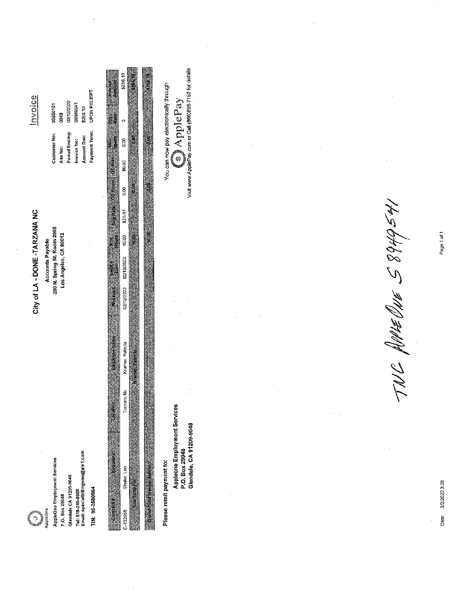| india<br>02/12/2022<br>\$8949541<br>00950101<br>848<br>Period Ending:<br>Customer No:<br>Invoice No:<br>Site No:<br>City of LA - DONE -TARZANA NC<br>200 N. Spring St. Room 2005<br>Los Angeles, CA 90012<br><b>Accounts Payable</b> | UPON RECEIPT<br>\$256.10<br>Payment Term:<br><b>Amount Due:</b> | Visit www.ApplePay.com or Call (866)898-7152 for details<br>\$256.10<br>You can now pay electronically through<br><b>O</b> ApplePay<br>i.<br>O<br>Houts<br>83<br>Registrate To Thousand Entrance<br>\$0.00<br>80<br>\$25.61<br>10.00<br>P               |
|--------------------------------------------------------------------------------------------------------------------------------------------------------------------------------------------------------------------------------------|-----------------------------------------------------------------|---------------------------------------------------------------------------------------------------------------------------------------------------------------------------------------------------------------------------------------------------------|
|                                                                                                                                                                                                                                      |                                                                 | 02/16/2022<br>02/12/2022<br>Weakend<br>Kramer, Patricia                                                                                                                                                                                                 |
| Email: specialbillingvms@ain1.com<br>AppleOne Employment Services<br>Glendale CA 91209-9048<br>Tel: 818-240-8688<br>P.O. Box 29048<br>AppleOne<br>Y                                                                                  | TIN: 95-2580864                                                 | <b>Tarzana No</b><br>Appleone Employment Services<br>Loca<br>Glendale, CA 91209-9048<br>P.O. Box 29048<br>Requestor<br>Please remit payment to:<br><b>REAR PRESS</b><br>Shafer, Len<br><b>Controller</b><br>医皮肤细胞<br>Contract #<br>電話 1100円<br>C-132956 |

14564688 3MM 7NL

Date: 3/2/2022 3:28

Page 1 of 1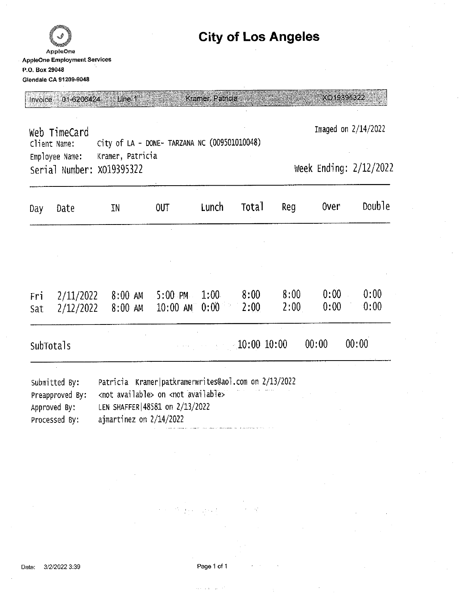### AppleOne **AppleOne Employment Services** P.O. Box 29048 Glendale CA 91209-9048

### **City of Los Angeles**

Line 1 Invoice 01-6206424

Kramer, Patricia

XO19395322

Imaged on 2/14/2022 Web TimeCard City of LA - DONE- TARZANA NC (009501010048) Client Name: Employee Name: Kramer, Patricia Week Ending: 2/12/2022 Serial Number: X019395322

| Day        | Date                   | IN                 | <b>OUT</b>                      | Lunch              | <b>Total</b> | Reg                    | <b>Over</b>  | Double       |
|------------|------------------------|--------------------|---------------------------------|--------------------|--------------|------------------------|--------------|--------------|
|            |                        |                    |                                 |                    |              |                        |              |              |
| Fri<br>Sat | 2/11/2022<br>2/12/2022 | 8:00 AM<br>8:00 AM | $-5:00$ PM<br>$10:00$ AM $0:00$ | 1:00               | 8:00<br>2:00 | 8:00<br>2:00           | 0:00<br>0:00 | 0:00<br>0:00 |
|            | SubTotals              |                    |                                 | <b>10:00 10:00</b> |              | and the company of the | 00:00        | 00:00        |
|            |                        |                    |                                 |                    |              |                        |              |              |

| Submitted By:   | Patricia Kramer patkramerwrites@aol.com on 2/13/2022 |
|-----------------|------------------------------------------------------|
| Preapproved By: | <not available=""> on <not available=""></not></not> |
| Approved By:    | LEN SHAFFER 48581 on 2/13/2022                       |
| Processed By:   | ajmartinez on 2/14/2022                              |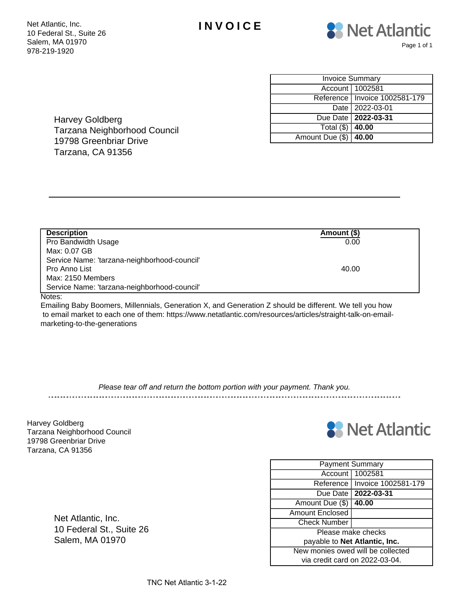



| <b>Invoice Summary</b>  |                                 |  |  |  |
|-------------------------|---------------------------------|--|--|--|
|                         | Account   1002581               |  |  |  |
|                         | Reference   Invoice 1002581-179 |  |  |  |
|                         | Date   2022-03-01               |  |  |  |
|                         | Due Date   2022-03-31           |  |  |  |
| Total $(\$)$ 40.00      |                                 |  |  |  |
| Amount Due (\$)   40.00 |                                 |  |  |  |

Harvey Goldberg Tarzana Neighborhood Council 19798 Greenbriar Drive Tarzana, CA 91356

| <b>Description</b>                           | Amount (\$) |
|----------------------------------------------|-------------|
| Pro Bandwidth Usage                          | 0.00        |
| Max: 0.07 GB                                 |             |
| Service Name: 'tarzana-neighborhood-council' |             |
| Pro Anno List                                | 40.00       |
| Max: 2150 Members                            |             |
| Service Name: 'tarzana-neighborhood-council' |             |

Notes:

Emailing Baby Boomers, Millennials, Generation X, and Generation Z should be different. We tell you how to email market to each one of them: https://www.netatlantic.com/resources/articles/straight-talk-on-emailmarketing-to-the-generations

Please tear off and return the bottom portion with your payment. Thank you.

Harvey Goldberg Tarzana Neighborhood Council 19798 Greenbriar Drive Tarzana, CA 91356



| <b>Payment Summary</b>            |                       |  |  |  |
|-----------------------------------|-----------------------|--|--|--|
| Account                           | 1002581               |  |  |  |
| Reference I                       | Invoice 1002581-179   |  |  |  |
|                                   | Due Date   2022-03-31 |  |  |  |
| 40.00<br>Amount Due (\$)          |                       |  |  |  |
| <b>Amount Enclosed</b>            |                       |  |  |  |
| <b>Check Number</b>               |                       |  |  |  |
| Please make checks                |                       |  |  |  |
| payable to Net Atlantic, Inc.     |                       |  |  |  |
| New monies owed will be collected |                       |  |  |  |
| via credit card on 2022-03-04.    |                       |  |  |  |

Net Atlantic, Inc. 10 Federal St., Suite 26 Salem, MA 01970